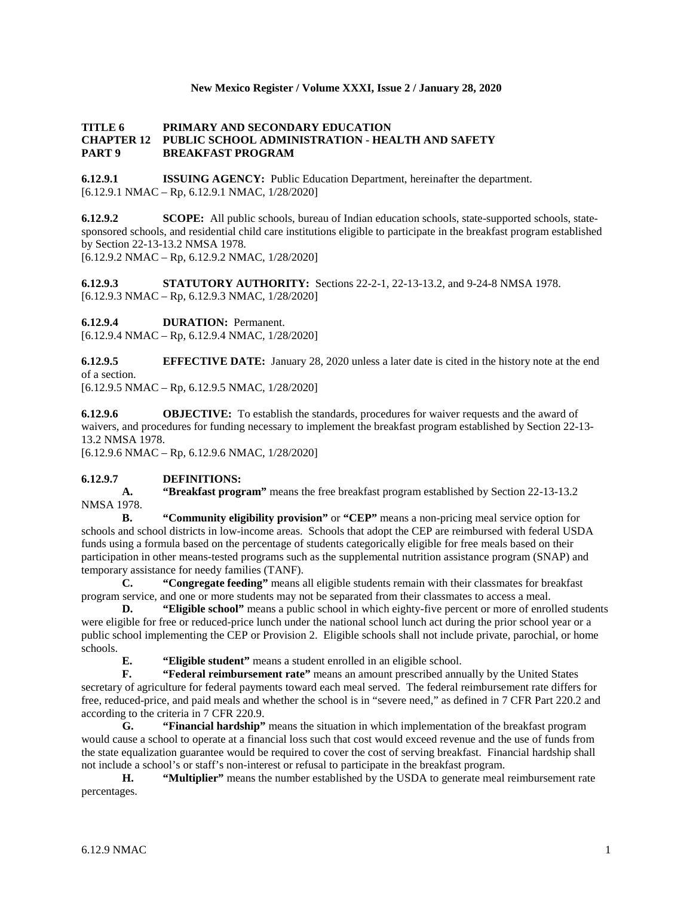### **New Mexico Register / Volume XXXI, Issue 2 / January 28, 2020**

### **TITLE 6 PRIMARY AND SECONDARY EDUCATION CHAPTER 12 PUBLIC SCHOOL ADMINISTRATION - HEALTH AND SAFETY PART 9 BREAKFAST PROGRAM**

**6.12.9.1 ISSUING AGENCY:** Public Education Department, hereinafter the department. [6.12.9.1 NMAC – Rp, 6.12.9.1 NMAC, 1/28/2020]

**6.12.9.2 SCOPE:** All public schools, bureau of Indian education schools, state-supported schools, statesponsored schools, and residential child care institutions eligible to participate in the breakfast program established by Section 22-13-13.2 NMSA 1978. [6.12.9.2 NMAC – Rp, 6.12.9.2 NMAC, 1/28/2020]

**6.12.9.3 STATUTORY AUTHORITY:** Sections 22-2-1, 22-13-13.2, and 9-24-8 NMSA 1978. [6.12.9.3 NMAC – Rp, 6.12.9.3 NMAC, 1/28/2020]

**6.12.9.4 DURATION:** Permanent.

[6.12.9.4 NMAC – Rp, 6.12.9.4 NMAC, 1/28/2020]

**6.12.9.5 EFFECTIVE DATE:** January 28, 2020 unless a later date is cited in the history note at the end of a section.

[6.12.9.5 NMAC – Rp, 6.12.9.5 NMAC, 1/28/2020]

**6.12.9.6 OBJECTIVE:** To establish the standards, procedures for waiver requests and the award of waivers, and procedures for funding necessary to implement the breakfast program established by Section 22-13- 13.2 NMSA 1978.

[6.12.9.6 NMAC – Rp, 6.12.9.6 NMAC, 1/28/2020]

## **6.12.9.7 DEFINITIONS:**

**A. "Breakfast program"** means the free breakfast program established by Section 22-13-13.2 NMSA 1978.

**B. "Community eligibility provision"** or **"CEP"** means a non-pricing meal service option for schools and school districts in low-income areas. Schools that adopt the CEP are reimbursed with federal USDA funds using a formula based on the percentage of students categorically eligible for free meals based on their participation in other means-tested programs such as the supplemental nutrition assistance program (SNAP) and temporary assistance for needy families (TANF).

**C. "Congregate feeding"** means all eligible students remain with their classmates for breakfast program service, and one or more students may not be separated from their classmates to access a meal.

**D. "Eligible school"** means a public school in which eighty-five percent or more of enrolled students were eligible for free or reduced-price lunch under the national school lunch act during the prior school year or a public school implementing the CEP or Provision 2. Eligible schools shall not include private, parochial, or home schools.

**E. "Eligible student"** means a student enrolled in an eligible school.

**F. "Federal reimbursement rate"** means an amount prescribed annually by the United States secretary of agriculture for federal payments toward each meal served. The federal reimbursement rate differs for free, reduced-price, and paid meals and whether the school is in "severe need," as defined in 7 CFR Part 220.2 and according to the criteria in 7 CFR 220.9.

**G. "Financial hardship"** means the situation in which implementation of the breakfast program would cause a school to operate at a financial loss such that cost would exceed revenue and the use of funds from the state equalization guarantee would be required to cover the cost of serving breakfast. Financial hardship shall not include a school's or staff's non-interest or refusal to participate in the breakfast program.

**H. "Multiplier"** means the number established by the USDA to generate meal reimbursement rate percentages.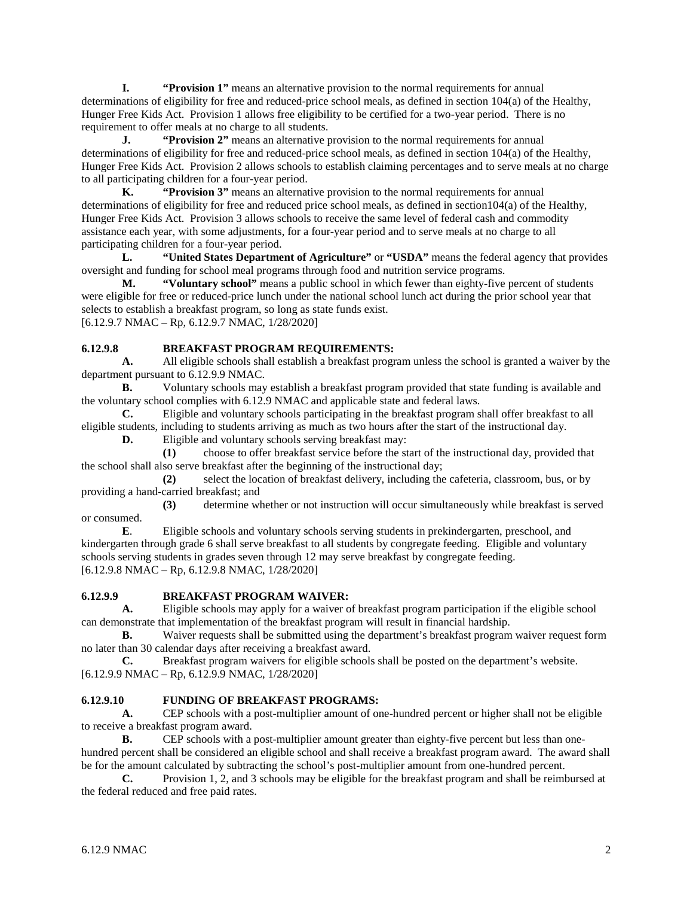**I. "Provision 1"** means an alternative provision to the normal requirements for annual determinations of eligibility for free and reduced-price school meals, as defined in section 104(a) of the Healthy, Hunger Free Kids Act. Provision 1 allows free eligibility to be certified for a two-year period. There is no requirement to offer meals at no charge to all students.

**J. "Provision 2"** means an alternative provision to the normal requirements for annual determinations of eligibility for free and reduced-price school meals, as defined in section 104(a) of the Healthy, Hunger Free Kids Act. Provision 2 allows schools to establish claiming percentages and to serve meals at no charge to all participating children for a four-year period.

**K. "Provision 3"** means an alternative provision to the normal requirements for annual determinations of eligibility for free and reduced price school meals, as defined in section104(a) of the Healthy, Hunger Free Kids Act. Provision 3 allows schools to receive the same level of federal cash and commodity assistance each year, with some adjustments, for a four-year period and to serve meals at no charge to all participating children for a four-year period.

**L. "United States Department of Agriculture"** or **"USDA"** means the federal agency that provides oversight and funding for school meal programs through food and nutrition service programs.

**M. "Voluntary school"** means a public school in which fewer than eighty-five percent of students were eligible for free or reduced-price lunch under the national school lunch act during the prior school year that selects to establish a breakfast program, so long as state funds exist. [6.12.9.7 NMAC – Rp, 6.12.9.7 NMAC, 1/28/2020]

## **6.12.9.8 BREAKFAST PROGRAM REQUIREMENTS:**

**A.** All eligible schools shall establish a breakfast program unless the school is granted a waiver by the department pursuant to 6.12.9.9 NMAC.

**B.** Voluntary schools may establish a breakfast program provided that state funding is available and the voluntary school complies with 6.12.9 NMAC and applicable state and federal laws.

**C.** Eligible and voluntary schools participating in the breakfast program shall offer breakfast to all eligible students, including to students arriving as much as two hours after the start of the instructional day.

**D.** Eligible and voluntary schools serving breakfast may:

**(1)** choose to offer breakfast service before the start of the instructional day, provided that the school shall also serve breakfast after the beginning of the instructional day;

**(2)** select the location of breakfast delivery, including the cafeteria, classroom, bus, or by providing a hand-carried breakfast; and

**(3)** determine whether or not instruction will occur simultaneously while breakfast is served or consumed.<br> $E$ 

**E**. Eligible schools and voluntary schools serving students in prekindergarten, preschool, and kindergarten through grade 6 shall serve breakfast to all students by congregate feeding. Eligible and voluntary schools serving students in grades seven through 12 may serve breakfast by congregate feeding. [6.12.9.8 NMAC – Rp, 6.12.9.8 NMAC, 1/28/2020]

## **6.12.9.9 BREAKFAST PROGRAM WAIVER:**

**A.** Eligible schools may apply for a waiver of breakfast program participation if the eligible school can demonstrate that implementation of the breakfast program will result in financial hardship.

**B.** Waiver requests shall be submitted using the department's breakfast program waiver request form no later than 30 calendar days after receiving a breakfast award.

**C.** Breakfast program waivers for eligible schools shall be posted on the department's website. [6.12.9.9 NMAC – Rp, 6.12.9.9 NMAC, 1/28/2020]

# **6.12.9.10 FUNDING OF BREAKFAST PROGRAMS:**

**A.** CEP schools with a post-multiplier amount of one-hundred percent or higher shall not be eligible to receive a breakfast program award.

**B.** CEP schools with a post-multiplier amount greater than eighty-five percent but less than onehundred percent shall be considered an eligible school and shall receive a breakfast program award. The award shall be for the amount calculated by subtracting the school's post-multiplier amount from one-hundred percent.

**C.** Provision 1, 2, and 3 schools may be eligible for the breakfast program and shall be reimbursed at the federal reduced and free paid rates.